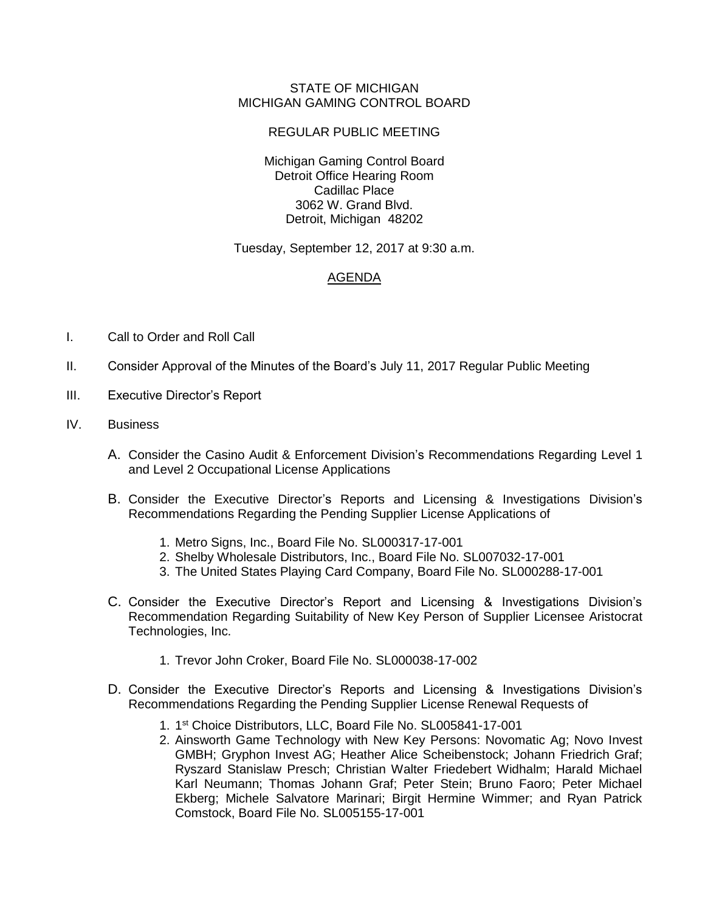## STATE OF MICHIGAN MICHIGAN GAMING CONTROL BOARD

## REGULAR PUBLIC MEETING

Michigan Gaming Control Board Detroit Office Hearing Room Cadillac Place 3062 W. Grand Blvd. Detroit, Michigan 48202

Tuesday, September 12, 2017 at 9:30 a.m.

## AGENDA

- I. Call to Order and Roll Call
- II. Consider Approval of the Minutes of the Board's July 11, 2017 Regular Public Meeting
- III. Executive Director's Report
- IV. Business
	- A. Consider the Casino Audit & Enforcement Division's Recommendations Regarding Level 1 and Level 2 Occupational License Applications
	- B. Consider the Executive Director's Reports and Licensing & Investigations Division's Recommendations Regarding the Pending Supplier License Applications of
		- 1. Metro Signs, Inc., Board File No. SL000317-17-001
		- 2. Shelby Wholesale Distributors, Inc., Board File No. SL007032-17-001
		- 3. The United States Playing Card Company, Board File No. SL000288-17-001
	- C. Consider the Executive Director's Report and Licensing & Investigations Division's Recommendation Regarding Suitability of New Key Person of Supplier Licensee Aristocrat Technologies, Inc.
		- 1. Trevor John Croker, Board File No. SL000038-17-002
	- D. Consider the Executive Director's Reports and Licensing & Investigations Division's Recommendations Regarding the Pending Supplier License Renewal Requests of
		- 1. 1 st Choice Distributors, LLC, Board File No. SL005841-17-001
		- 2. Ainsworth Game Technology with New Key Persons: Novomatic Ag; Novo Invest GMBH; Gryphon Invest AG; Heather Alice Scheibenstock; Johann Friedrich Graf; Ryszard Stanislaw Presch; Christian Walter Friedebert Widhalm; Harald Michael Karl Neumann; Thomas Johann Graf; Peter Stein; Bruno Faoro; Peter Michael Ekberg; Michele Salvatore Marinari; Birgit Hermine Wimmer; and Ryan Patrick Comstock, Board File No. SL005155-17-001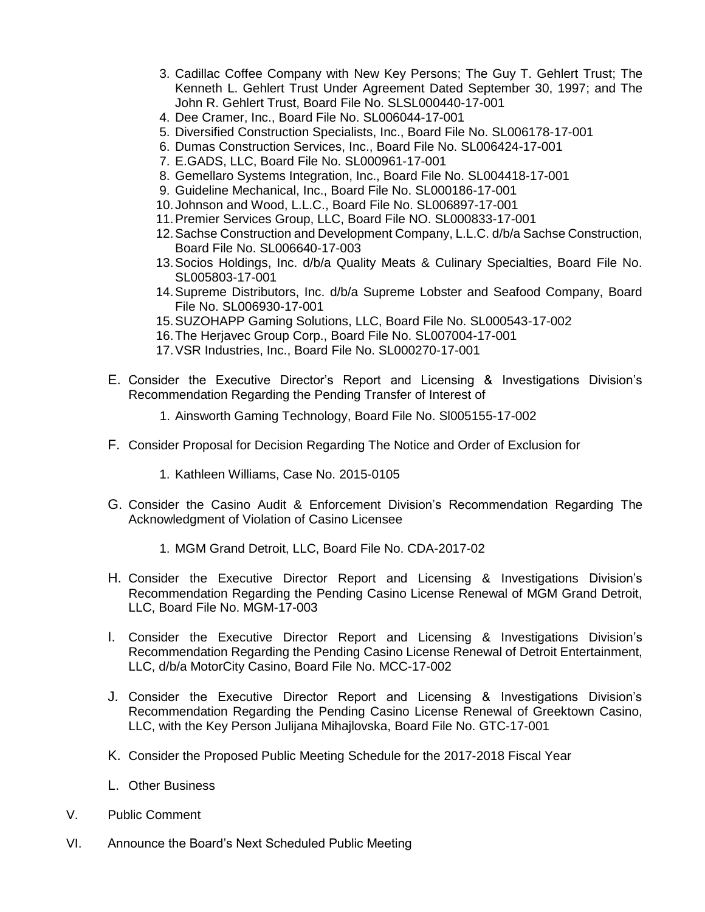- 3. Cadillac Coffee Company with New Key Persons; The Guy T. Gehlert Trust; The Kenneth L. Gehlert Trust Under Agreement Dated September 30, 1997; and The John R. Gehlert Trust, Board File No. SLSL000440-17-001
- 4. Dee Cramer, Inc., Board File No. SL006044-17-001
- 5. Diversified Construction Specialists, Inc., Board File No. SL006178-17-001
- 6. Dumas Construction Services, Inc., Board File No. SL006424-17-001
- 7. E.GADS, LLC, Board File No. SL000961-17-001
- 8. Gemellaro Systems Integration, Inc., Board File No. SL004418-17-001
- 9. Guideline Mechanical, Inc., Board File No. SL000186-17-001
- 10.Johnson and Wood, L.L.C., Board File No. SL006897-17-001
- 11.Premier Services Group, LLC, Board File NO. SL000833-17-001
- 12.Sachse Construction and Development Company, L.L.C. d/b/a Sachse Construction, Board File No. SL006640-17-003
- 13.Socios Holdings, Inc. d/b/a Quality Meats & Culinary Specialties, Board File No. SL005803-17-001
- 14.Supreme Distributors, Inc. d/b/a Supreme Lobster and Seafood Company, Board File No. SL006930-17-001
- 15.SUZOHAPP Gaming Solutions, LLC, Board File No. SL000543-17-002
- 16.The Herjavec Group Corp., Board File No. SL007004-17-001
- 17.VSR Industries, Inc., Board File No. SL000270-17-001
- E. Consider the Executive Director's Report and Licensing & Investigations Division's Recommendation Regarding the Pending Transfer of Interest of
	- 1. Ainsworth Gaming Technology, Board File No. Sl005155-17-002
- F. Consider Proposal for Decision Regarding The Notice and Order of Exclusion for
	- 1. Kathleen Williams, Case No. 2015-0105
- G. Consider the Casino Audit & Enforcement Division's Recommendation Regarding The Acknowledgment of Violation of Casino Licensee
	- 1. MGM Grand Detroit, LLC, Board File No. CDA-2017-02
- H. Consider the Executive Director Report and Licensing & Investigations Division's Recommendation Regarding the Pending Casino License Renewal of MGM Grand Detroit, LLC, Board File No. MGM-17-003
- I. Consider the Executive Director Report and Licensing & Investigations Division's Recommendation Regarding the Pending Casino License Renewal of Detroit Entertainment, LLC, d/b/a MotorCity Casino, Board File No. MCC-17-002
- J. Consider the Executive Director Report and Licensing & Investigations Division's Recommendation Regarding the Pending Casino License Renewal of Greektown Casino, LLC, with the Key Person Julijana Mihajlovska, Board File No. GTC-17-001
- K. Consider the Proposed Public Meeting Schedule for the 2017-2018 Fiscal Year
- L. Other Business
- V. Public Comment
- VI. Announce the Board's Next Scheduled Public Meeting